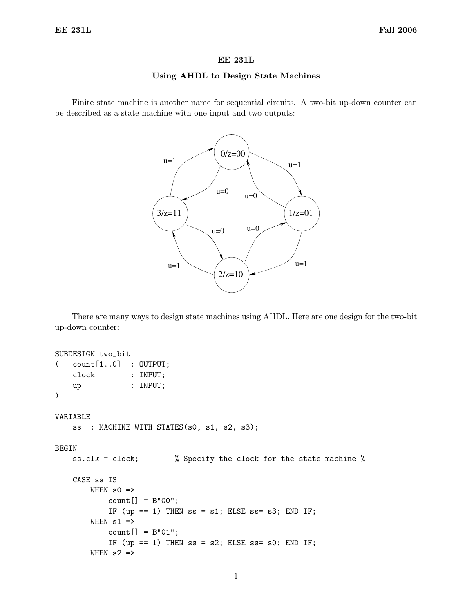## EE 231L

## Using AHDL to Design State Machines

Finite state machine is another name for sequential circuits. A two-bit up-down counter can be described as a state machine with one input and two outputs:



There are many ways to design state machines using AHDL. Here are one design for the two-bit up-down counter:

```
SUBDESIGN two_bit
( count[1..0] : OUTPUT;
    clock : INPUT;
    up : INPUT;
\lambdaVARIABLE
    ss : MACHINE WITH STATES(s0, s1, s2, s3);
BEGIN
    ss.clk = clock; % Specify the clock for the state machine %
    CASE ss IS
        WHEN s0 \Rightarrowcount[] = B"00";IF (up == 1) THEN ss = s1; ELSE ss = s3; END IF;
        WHEN s1 =>
            count[] = B"01";IF (up == 1) THEN ss = s2; ELSE ss = s0; END IF;
        WHEN s2 \Rightarrow
```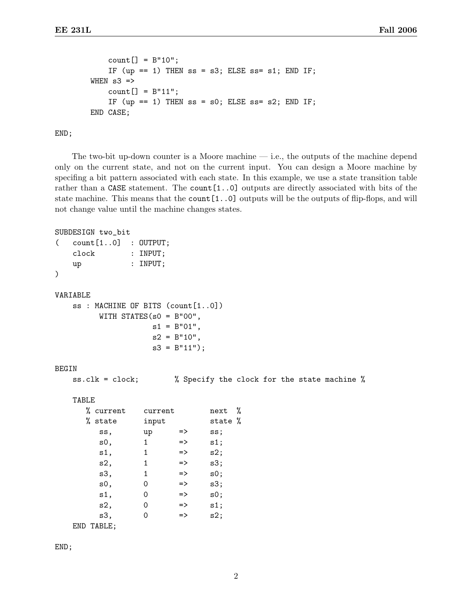```
count[] = B"10";IF (up == 1) THEN ss = s3; ELSE ss = s1; END IF;
WHEN s3 =>
    count[] = B"11";IF (up == 1) THEN ss = s0; ELSE ss = s2; END IF;
END CASE;
```
END;

The two-bit up-down counter is a Moore machine  $-$  i.e., the outputs of the machine depend only on the current state, and not on the current input. You can design a Moore machine by specifing a bit pattern associated with each state. In this example, we use a state transition table rather than a CASE statement. The count [1..0] outputs are directly associated with bits of the state machine. This means that the count[1..0] outputs will be the outputs of flip-flops, and will not change value until the machine changes states.

```
SUBDESIGN two_bit
```

```
( count[1..0] : OUTPUT;
   clock : INPUT;
   up : INPUT;
)
VARIABLE
   ss : MACHINE OF BITS (count[1..0])
         WITH STATES(s0 = B"00",
                    s1 = B"01",s2 = B''10'',
                    s3 = B''11';
BEGIN
   ss.clk = clock; % Specify the clock for the state machine %
   TABLE
      % current current next %
```

| e current<br>current |       |               | nexe  | $\sqrt{2}$ |
|----------------------|-------|---------------|-------|------------|
| % state              | input |               | state | %          |
| SS,                  | up    | =>            | ss;   |            |
| s0,                  | 1     | $\Rightarrow$ | s1;   |            |
| s1,                  | 1     | $\Rightarrow$ | s2;   |            |
| s2,                  | 1     | $\Rightarrow$ | s3;   |            |
| s3,                  | 1     | $\Rightarrow$ | s0;   |            |
| s0,                  | 0     | $\Rightarrow$ | s3;   |            |
| s1,                  | 0     | $\Rightarrow$ | s0;   |            |
| s2,                  | 0     | $\Rightarrow$ | s1;   |            |
| s3,                  | 0     | $\Rightarrow$ | s2;   |            |
| END TABLE;           |       |               |       |            |

END;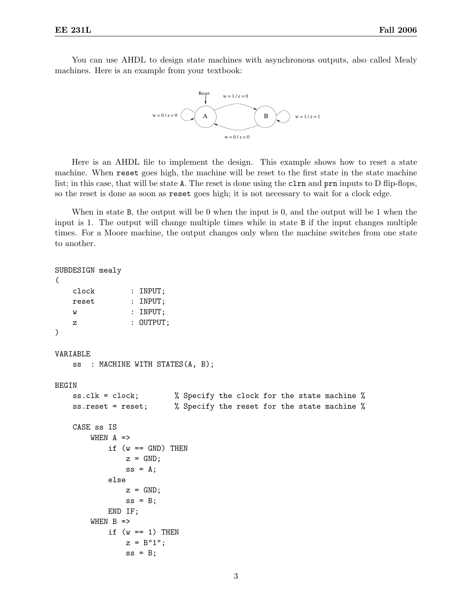You can use AHDL to design state machines with asynchronous outputs, also called Mealy machines. Here is an example from your textbook:



Here is an AHDL file to implement the design. This example shows how to reset a state machine. When reset goes high, the machine will be reset to the first state in the state machine list; in this case, that will be state A. The reset is done using the clear and prn inputs to D flip-flops, so the reset is done as soon as reset goes high; it is not necessary to wait for a clock edge.

When in state B, the output will be 0 when the input is 0, and the output will be 1 when the input is 1. The output will change multiple times while in state B if the input changes multiple times. For a Moore machine, the output changes only when the machine switches from one state to another.

```
SUBDESIGN mealy
(
   clock : INPUT;
   reset : INPUT;
   w : INPUT;
   z : OUTPUT;
)
VARIABLE
   ss : MACHINE WITH STATES(A, B);
BEGIN
   ss.clk = clock; % Specify the clock for the state machine %
   ss.reset = reset; % Specify the reset for the state machine %
   CASE ss IS
       WHEN A =>
           if (w == GND) THEN
              z = GND;ss = A;else
              z = GND;ss = B;END IF;
       WHEN B =>
           if (w == 1) THEN
              z = B''1'';
              ss = B;
```